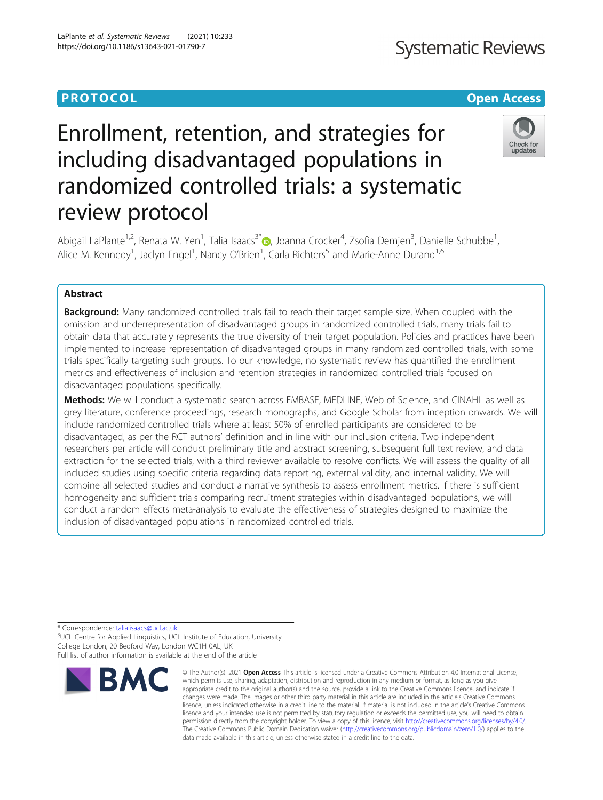### **PROTOCOL CONSUMING THE CONSUMING TEACHER CONSUMING THE CONSUMING TEACHER CONSUMING THE CONSUMING TEACHER CONSUMING**

## **Systematic Reviews**

### Check for updates

# Enrollment, retention, and strategies for including disadvantaged populations in randomized controlled trials: a systematic review protocol

Abigail LaPlante<sup>1,2</sup>, Renata W. Yen<sup>1</sup>, Talia Isaacs<sup>3\*</sup>®, Joanna Crocker<sup>4</sup>, Zsofia Demjen<sup>3</sup>, Danielle Schubbe<sup>1</sup> , Alice M. Kennedy<sup>1</sup>, Jaclyn Engel<sup>1</sup>, Nancy O'Brien<sup>1</sup>, Carla Richters<sup>5</sup> and Marie-Anne Durand<sup>1,6</sup>

### Abstract

**Background:** Many randomized controlled trials fail to reach their target sample size. When coupled with the omission and underrepresentation of disadvantaged groups in randomized controlled trials, many trials fail to obtain data that accurately represents the true diversity of their target population. Policies and practices have been implemented to increase representation of disadvantaged groups in many randomized controlled trials, with some trials specifically targeting such groups. To our knowledge, no systematic review has quantified the enrollment metrics and effectiveness of inclusion and retention strategies in randomized controlled trials focused on disadvantaged populations specifically.

Methods: We will conduct a systematic search across EMBASE, MEDLINE, Web of Science, and CINAHL as well as grey literature, conference proceedings, research monographs, and Google Scholar from inception onwards. We will include randomized controlled trials where at least 50% of enrolled participants are considered to be disadvantaged, as per the RCT authors' definition and in line with our inclusion criteria. Two independent researchers per article will conduct preliminary title and abstract screening, subsequent full text review, and data extraction for the selected trials, with a third reviewer available to resolve conflicts. We will assess the quality of all included studies using specific criteria regarding data reporting, external validity, and internal validity. We will combine all selected studies and conduct a narrative synthesis to assess enrollment metrics. If there is sufficient homogeneity and sufficient trials comparing recruitment strategies within disadvantaged populations, we will conduct a random effects meta-analysis to evaluate the effectiveness of strategies designed to maximize the inclusion of disadvantaged populations in randomized controlled trials.

\* Correspondence: [talia.isaacs@ucl.ac.uk](mailto:talia.isaacs@ucl.ac.uk) <sup>3</sup>

<sup>3</sup>UCL Centre for Applied Linguistics, UCL Institute of Education, University College London, 20 Bedford Way, London WC1H 0AL, UK Full list of author information is available at the end of the article



<sup>©</sup> The Author(s), 2021 **Open Access** This article is licensed under a Creative Commons Attribution 4.0 International License, which permits use, sharing, adaptation, distribution and reproduction in any medium or format, as long as you give appropriate credit to the original author(s) and the source, provide a link to the Creative Commons licence, and indicate if changes were made. The images or other third party material in this article are included in the article's Creative Commons licence, unless indicated otherwise in a credit line to the material. If material is not included in the article's Creative Commons licence and your intended use is not permitted by statutory regulation or exceeds the permitted use, you will need to obtain permission directly from the copyright holder. To view a copy of this licence, visit [http://creativecommons.org/licenses/by/4.0/.](http://creativecommons.org/licenses/by/4.0/) The Creative Commons Public Domain Dedication waiver [\(http://creativecommons.org/publicdomain/zero/1.0/](http://creativecommons.org/publicdomain/zero/1.0/)) applies to the data made available in this article, unless otherwise stated in a credit line to the data.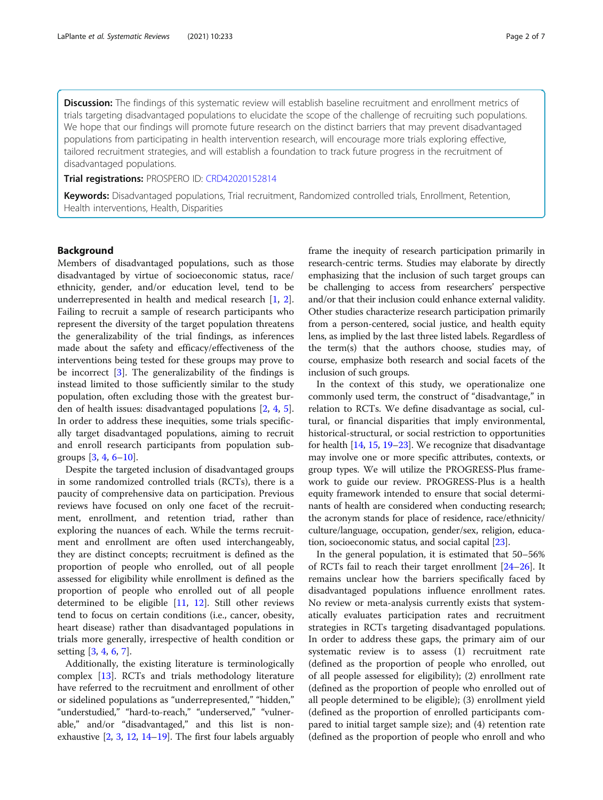Discussion: The findings of this systematic review will establish baseline recruitment and enrollment metrics of trials targeting disadvantaged populations to elucidate the scope of the challenge of recruiting such populations. We hope that our findings will promote future research on the distinct barriers that may prevent disadvantaged populations from participating in health intervention research, will encourage more trials exploring effective, tailored recruitment strategies, and will establish a foundation to track future progress in the recruitment of disadvantaged populations.

#### Trial registrations: PROSPERO ID: [CRD42020152814](https://www.crd.york.ac.uk/PROSPERO/display_record.php?RecordID=152814)

Keywords: Disadvantaged populations, Trial recruitment, Randomized controlled trials, Enrollment, Retention, Health interventions, Health, Disparities

#### Background

Members of disadvantaged populations, such as those disadvantaged by virtue of socioeconomic status, race/ ethnicity, gender, and/or education level, tend to be underrepresented in health and medical research [\[1](#page-5-0), [2](#page-5-0)]. Failing to recruit a sample of research participants who represent the diversity of the target population threatens the generalizability of the trial findings, as inferences made about the safety and efficacy/effectiveness of the interventions being tested for these groups may prove to be incorrect  $[3]$  $[3]$ . The generalizability of the findings is instead limited to those sufficiently similar to the study population, often excluding those with the greatest burden of health issues: disadvantaged populations [\[2](#page-5-0), [4,](#page-5-0) [5](#page-5-0)]. In order to address these inequities, some trials specifically target disadvantaged populations, aiming to recruit and enroll research participants from population subgroups [[3,](#page-5-0) [4,](#page-5-0) [6](#page-5-0)–[10](#page-5-0)].

Despite the targeted inclusion of disadvantaged groups in some randomized controlled trials (RCTs), there is a paucity of comprehensive data on participation. Previous reviews have focused on only one facet of the recruitment, enrollment, and retention triad, rather than exploring the nuances of each. While the terms recruitment and enrollment are often used interchangeably, they are distinct concepts; recruitment is defined as the proportion of people who enrolled, out of all people assessed for eligibility while enrollment is defined as the proportion of people who enrolled out of all people determined to be eligible [\[11](#page-5-0), [12\]](#page-5-0). Still other reviews tend to focus on certain conditions (i.e., cancer, obesity, heart disease) rather than disadvantaged populations in trials more generally, irrespective of health condition or setting [\[3,](#page-5-0) [4,](#page-5-0) [6,](#page-5-0) [7\]](#page-5-0).

Additionally, the existing literature is terminologically complex [[13\]](#page-5-0). RCTs and trials methodology literature have referred to the recruitment and enrollment of other or sidelined populations as "underrepresented," "hidden," "understudied," "hard-to-reach," "underserved," "vulnerable," and/or "disadvantaged," and this list is nonexhaustive [[2,](#page-5-0) [3,](#page-5-0) [12,](#page-5-0) [14](#page-5-0)–[19\]](#page-5-0). The first four labels arguably frame the inequity of research participation primarily in research-centric terms. Studies may elaborate by directly emphasizing that the inclusion of such target groups can be challenging to access from researchers' perspective and/or that their inclusion could enhance external validity. Other studies characterize research participation primarily from a person-centered, social justice, and health equity lens, as implied by the last three listed labels. Regardless of the term(s) that the authors choose, studies may, of course, emphasize both research and social facets of the inclusion of such groups.

In the context of this study, we operationalize one commonly used term, the construct of "disadvantage," in relation to RCTs. We define disadvantage as social, cultural, or financial disparities that imply environmental, historical-structural, or social restriction to opportunities for health [\[14,](#page-5-0) [15](#page-5-0), [19](#page-5-0)–[23](#page-5-0)]. We recognize that disadvantage may involve one or more specific attributes, contexts, or group types. We will utilize the PROGRESS-Plus framework to guide our review. PROGRESS-Plus is a health equity framework intended to ensure that social determinants of health are considered when conducting research; the acronym stands for place of residence, race/ethnicity/ culture/language, occupation, gender/sex, religion, education, socioeconomic status, and social capital [\[23\]](#page-5-0).

In the general population, it is estimated that 50–56% of RCTs fail to reach their target enrollment [[24](#page-5-0)–[26](#page-5-0)]. It remains unclear how the barriers specifically faced by disadvantaged populations influence enrollment rates. No review or meta-analysis currently exists that systematically evaluates participation rates and recruitment strategies in RCTs targeting disadvantaged populations. In order to address these gaps, the primary aim of our systematic review is to assess (1) recruitment rate (defined as the proportion of people who enrolled, out of all people assessed for eligibility); (2) enrollment rate (defined as the proportion of people who enrolled out of all people determined to be eligible); (3) enrollment yield (defined as the proportion of enrolled participants compared to initial target sample size); and (4) retention rate (defined as the proportion of people who enroll and who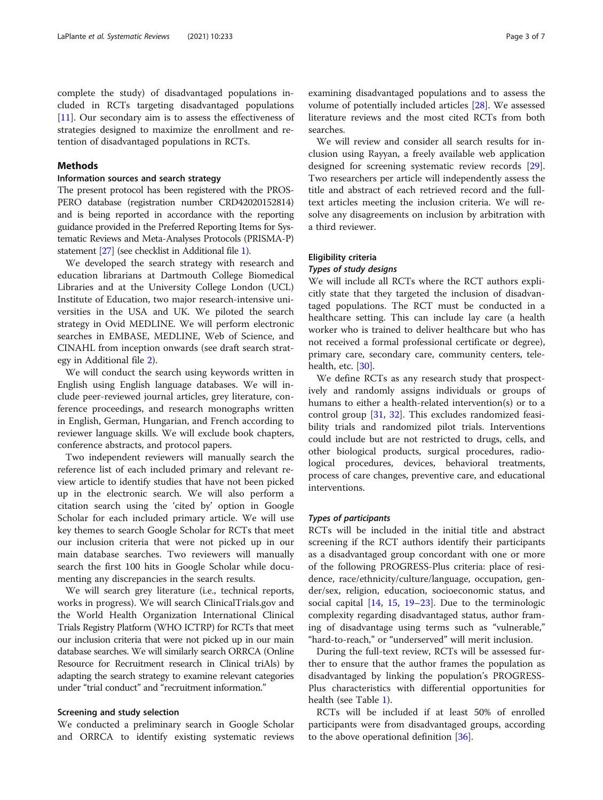complete the study) of disadvantaged populations included in RCTs targeting disadvantaged populations [[11\]](#page-5-0). Our secondary aim is to assess the effectiveness of strategies designed to maximize the enrollment and retention of disadvantaged populations in RCTs.

#### Methods

#### Information sources and search strategy

The present protocol has been registered with the PROS-PERO database (registration number CRD42020152814) and is being reported in accordance with the reporting guidance provided in the Preferred Reporting Items for Systematic Reviews and Meta-Analyses Protocols (PRISMA-P) statement [[27](#page-6-0)] (see checklist in Additional file [1\)](#page-4-0).

We developed the search strategy with research and education librarians at Dartmouth College Biomedical Libraries and at the University College London (UCL) Institute of Education, two major research-intensive universities in the USA and UK. We piloted the search strategy in Ovid MEDLINE. We will perform electronic searches in EMBASE, MEDLINE, Web of Science, and CINAHL from inception onwards (see draft search strategy in Additional file [2](#page-4-0)).

We will conduct the search using keywords written in English using English language databases. We will include peer-reviewed journal articles, grey literature, conference proceedings, and research monographs written in English, German, Hungarian, and French according to reviewer language skills. We will exclude book chapters, conference abstracts, and protocol papers.

Two independent reviewers will manually search the reference list of each included primary and relevant review article to identify studies that have not been picked up in the electronic search. We will also perform a citation search using the 'cited by' option in Google Scholar for each included primary article. We will use key themes to search Google Scholar for RCTs that meet our inclusion criteria that were not picked up in our main database searches. Two reviewers will manually search the first 100 hits in Google Scholar while documenting any discrepancies in the search results.

We will search grey literature (i.e., technical reports, works in progress). We will search ClinicalTrials.gov and the World Health Organization International Clinical Trials Registry Platform (WHO ICTRP) for RCTs that meet our inclusion criteria that were not picked up in our main database searches. We will similarly search ORRCA (Online Resource for Recruitment research in Clinical triAls) by adapting the search strategy to examine relevant categories under "trial conduct" and "recruitment information."

#### Screening and study selection

We conducted a preliminary search in Google Scholar and ORRCA to identify existing systematic reviews

examining disadvantaged populations and to assess the volume of potentially included articles [\[28\]](#page-6-0). We assessed literature reviews and the most cited RCTs from both searches.

We will review and consider all search results for inclusion using Rayyan, a freely available web application designed for screening systematic review records [\[29](#page-6-0)]. Two researchers per article will independently assess the title and abstract of each retrieved record and the fulltext articles meeting the inclusion criteria. We will resolve any disagreements on inclusion by arbitration with a third reviewer.

#### Eligibility criteria

#### Types of study designs

We will include all RCTs where the RCT authors explicitly state that they targeted the inclusion of disadvantaged populations. The RCT must be conducted in a healthcare setting. This can include lay care (a health worker who is trained to deliver healthcare but who has not received a formal professional certificate or degree), primary care, secondary care, community centers, tele-health, etc. [\[30\]](#page-6-0).

We define RCTs as any research study that prospectively and randomly assigns individuals or groups of humans to either a health-related intervention(s) or to a control group [\[31,](#page-6-0) [32\]](#page-6-0). This excludes randomized feasibility trials and randomized pilot trials. Interventions could include but are not restricted to drugs, cells, and other biological products, surgical procedures, radiological procedures, devices, behavioral treatments, process of care changes, preventive care, and educational interventions.

#### Types of participants

RCTs will be included in the initial title and abstract screening if the RCT authors identify their participants as a disadvantaged group concordant with one or more of the following PROGRESS-Plus criteria: place of residence, race/ethnicity/culture/language, occupation, gender/sex, religion, education, socioeconomic status, and social capital [[14](#page-5-0), [15,](#page-5-0) [19](#page-5-0)–[23](#page-5-0)]. Due to the terminologic complexity regarding disadvantaged status, author framing of disadvantage using terms such as "vulnerable," "hard-to-reach," or "underserved" will merit inclusion.

During the full-text review, RCTs will be assessed further to ensure that the author frames the population as disadvantaged by linking the population's PROGRESS-Plus characteristics with differential opportunities for health (see Table [1](#page-3-0)).

RCTs will be included if at least 50% of enrolled participants were from disadvantaged groups, according to the above operational definition [[36](#page-6-0)].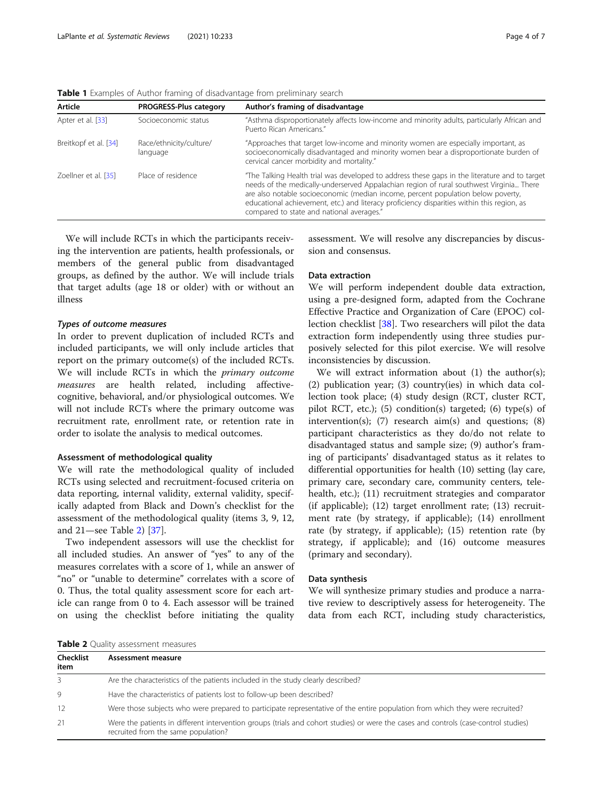<span id="page-3-0"></span>Table 1 Examples of Author framing of disadvantage from preliminary search

| Article               | <b>PROGRESS-Plus category</b>       | Author's framing of disadvantage                                                                                                                                                                                                                                                                                                                                                                                        |
|-----------------------|-------------------------------------|-------------------------------------------------------------------------------------------------------------------------------------------------------------------------------------------------------------------------------------------------------------------------------------------------------------------------------------------------------------------------------------------------------------------------|
| Apter et al. [33]     | Socioeconomic status                | "Asthma disproportionately affects low-income and minority adults, particularly African and<br>Puerto Rican Americans."                                                                                                                                                                                                                                                                                                 |
| Breitkopf et al. [34] | Race/ethnicity/culture/<br>language | "Approaches that target low-income and minority women are especially important, as<br>socioeconomically disadvantaged and minority women bear a disproportionate burden of<br>cervical cancer morbidity and mortality."                                                                                                                                                                                                 |
| Zoellner et al. [35]  | Place of residence                  | "The Talking Health trial was developed to address these gaps in the literature and to target<br>needs of the medically-underserved Appalachian region of rural southwest Virginia There<br>are also notable socioeconomic (median income, percent population below poverty,<br>educational achievement, etc.) and literacy proficiency disparities within this region, as<br>compared to state and national averages." |

We will include RCTs in which the participants receiving the intervention are patients, health professionals, or members of the general public from disadvantaged groups, as defined by the author. We will include trials that target adults (age 18 or older) with or without an illness

#### Types of outcome measures

In order to prevent duplication of included RCTs and included participants, we will only include articles that report on the primary outcome(s) of the included RCTs. We will include RCTs in which the primary outcome measures are health related, including affectivecognitive, behavioral, and/or physiological outcomes. We will not include RCTs where the primary outcome was recruitment rate, enrollment rate, or retention rate in order to isolate the analysis to medical outcomes.

#### Assessment of methodological quality

We will rate the methodological quality of included RCTs using selected and recruitment-focused criteria on data reporting, internal validity, external validity, specifically adapted from Black and Down's checklist for the assessment of the methodological quality (items 3, 9, 12, and 21—see Table 2) [\[37\]](#page-6-0).

Two independent assessors will use the checklist for all included studies. An answer of "yes" to any of the measures correlates with a score of 1, while an answer of "no" or "unable to determine" correlates with a score of 0. Thus, the total quality assessment score for each article can range from 0 to 4. Each assessor will be trained on using the checklist before initiating the quality

assessment. We will resolve any discrepancies by discussion and consensus.

#### Data extraction

We will perform independent double data extraction, using a pre-designed form, adapted from the Cochrane Effective Practice and Organization of Care (EPOC) collection checklist [\[38](#page-6-0)]. Two researchers will pilot the data extraction form independently using three studies purposively selected for this pilot exercise. We will resolve inconsistencies by discussion.

We will extract information about (1) the author(s); (2) publication year; (3) country(ies) in which data collection took place; (4) study design (RCT, cluster RCT, pilot RCT, etc.); (5) condition(s) targeted; (6) type(s) of intervention(s); (7) research aim(s) and questions; (8) participant characteristics as they do/do not relate to disadvantaged status and sample size; (9) author's framing of participants' disadvantaged status as it relates to differential opportunities for health (10) setting (lay care, primary care, secondary care, community centers, telehealth, etc.); (11) recruitment strategies and comparator (if applicable); (12) target enrollment rate; (13) recruitment rate (by strategy, if applicable); (14) enrollment rate (by strategy, if applicable); (15) retention rate (by strategy, if applicable); and (16) outcome measures (primary and secondary).

#### Data synthesis

We will synthesize primary studies and produce a narrative review to descriptively assess for heterogeneity. The data from each RCT, including study characteristics,

Table 2 Quality assessment measures

| Checklist<br>item | Assessment measure                                                                                                                                                          |
|-------------------|-----------------------------------------------------------------------------------------------------------------------------------------------------------------------------|
|                   | Are the characteristics of the patients included in the study clearly described?                                                                                            |
| 9                 | Have the characteristics of patients lost to follow-up been described?                                                                                                      |
| 12                | Were those subjects who were prepared to participate representative of the entire population from which they were recruited?                                                |
| 21                | Were the patients in different intervention groups (trials and cohort studies) or were the cases and controls (case-control studies)<br>recruited from the same population? |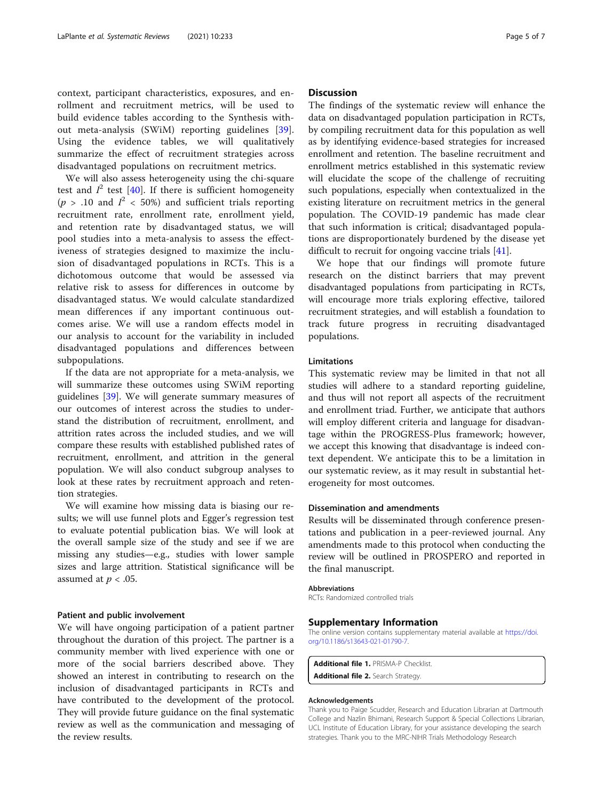<span id="page-4-0"></span>context, participant characteristics, exposures, and enrollment and recruitment metrics, will be used to build evidence tables according to the Synthesis without meta-analysis (SWiM) reporting guidelines [\[39](#page-6-0)]. Using the evidence tables, we will qualitatively summarize the effect of recruitment strategies across disadvantaged populations on recruitment metrics.

We will also assess heterogeneity using the chi-square test and  $I^2$  test [\[40](#page-6-0)]. If there is sufficient homogeneity ( $p > .10$  and  $I^2 < 50\%$ ) and sufficient trials reporting recruitment rate, enrollment rate, enrollment yield, and retention rate by disadvantaged status, we will pool studies into a meta-analysis to assess the effectiveness of strategies designed to maximize the inclusion of disadvantaged populations in RCTs. This is a dichotomous outcome that would be assessed via relative risk to assess for differences in outcome by disadvantaged status. We would calculate standardized mean differences if any important continuous outcomes arise. We will use a random effects model in our analysis to account for the variability in included disadvantaged populations and differences between subpopulations.

If the data are not appropriate for a meta-analysis, we will summarize these outcomes using SWiM reporting guidelines [[39\]](#page-6-0). We will generate summary measures of our outcomes of interest across the studies to understand the distribution of recruitment, enrollment, and attrition rates across the included studies, and we will compare these results with established published rates of recruitment, enrollment, and attrition in the general population. We will also conduct subgroup analyses to look at these rates by recruitment approach and retention strategies.

We will examine how missing data is biasing our results; we will use funnel plots and Egger's regression test to evaluate potential publication bias. We will look at the overall sample size of the study and see if we are missing any studies—e.g., studies with lower sample sizes and large attrition. Statistical significance will be assumed at  $p < .05$ .

#### Patient and public involvement

We will have ongoing participation of a patient partner throughout the duration of this project. The partner is a community member with lived experience with one or more of the social barriers described above. They showed an interest in contributing to research on the inclusion of disadvantaged participants in RCTs and have contributed to the development of the protocol. They will provide future guidance on the final systematic review as well as the communication and messaging of the review results.

#### **Discussion**

The findings of the systematic review will enhance the data on disadvantaged population participation in RCTs, by compiling recruitment data for this population as well as by identifying evidence-based strategies for increased enrollment and retention. The baseline recruitment and enrollment metrics established in this systematic review will elucidate the scope of the challenge of recruiting such populations, especially when contextualized in the existing literature on recruitment metrics in the general population. The COVID-19 pandemic has made clear that such information is critical; disadvantaged populations are disproportionately burdened by the disease yet difficult to recruit for ongoing vaccine trials [\[41](#page-6-0)].

We hope that our findings will promote future research on the distinct barriers that may prevent disadvantaged populations from participating in RCTs, will encourage more trials exploring effective, tailored recruitment strategies, and will establish a foundation to track future progress in recruiting disadvantaged populations.

#### Limitations

This systematic review may be limited in that not all studies will adhere to a standard reporting guideline, and thus will not report all aspects of the recruitment and enrollment triad. Further, we anticipate that authors will employ different criteria and language for disadvantage within the PROGRESS-Plus framework; however, we accept this knowing that disadvantage is indeed context dependent. We anticipate this to be a limitation in our systematic review, as it may result in substantial heterogeneity for most outcomes.

#### Dissemination and amendments

Results will be disseminated through conference presentations and publication in a peer-reviewed journal. Any amendments made to this protocol when conducting the review will be outlined in PROSPERO and reported in the final manuscript.

#### Abbreviations

RCTs: Randomized controlled trials

#### Supplementary Information

The online version contains supplementary material available at [https://doi.](https://doi.org/10.1186/s13643-021-01790-7) [org/10.1186/s13643-021-01790-7.](https://doi.org/10.1186/s13643-021-01790-7)

Additional file 1. PRISMA-P Checklist. Additional file 2. Search Strategy.

#### Acknowledgements

Thank you to Paige Scudder, Research and Education Librarian at Dartmouth College and Nazlin Bhimani, Research Support & Special Collections Librarian, UCL Institute of Education Library, for your assistance developing the search strategies. Thank you to the MRC-NIHR Trials Methodology Research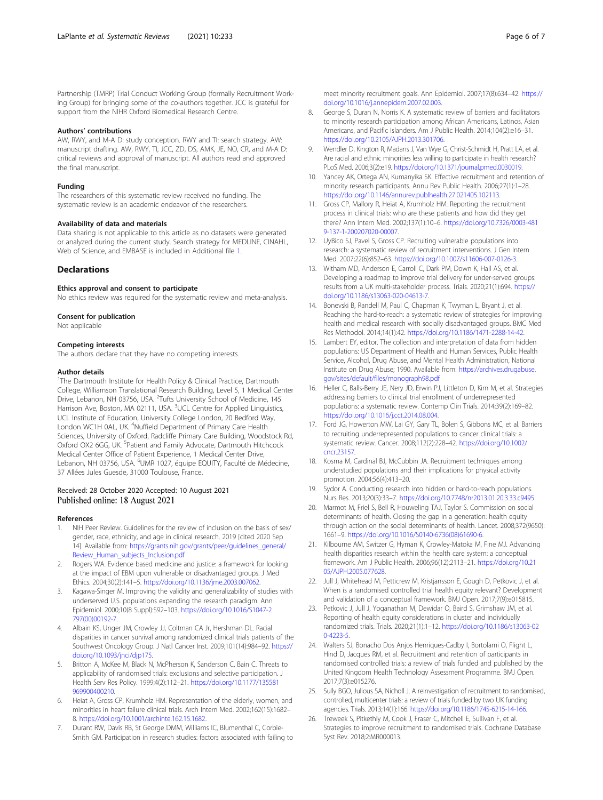<span id="page-5-0"></span>Partnership (TMRP) Trial Conduct Working Group (formally Recruitment Working Group) for bringing some of the co-authors together. JCC is grateful for support from the NIHR Oxford Biomedical Research Centre.

#### Authors' contributions

AW, RWY, and M-A D: study conception. RWY and TI: search strategy. AW: manuscript drafting. AW, RWY, TI, JCC, ZD, DS, AMK, JE, NO, CR, and M-A D: critical reviews and approval of manuscript. All authors read and approved the final manuscript.

#### Funding

The researchers of this systematic review received no funding. The systematic review is an academic endeavor of the researchers.

#### Availability of data and materials

Data sharing is not applicable to this article as no datasets were generated or analyzed during the current study. Search strategy for MEDLINE, CINAHL, Web of Science, and EMBASE is included in Additional file [1.](#page-4-0)

#### **Declarations**

#### Ethics approval and consent to participate

No ethics review was required for the systematic review and meta-analysis.

#### Consent for publication

Not applicable

#### Competing interests

The authors declare that they have no competing interests.

#### Author details

<sup>1</sup>The Dartmouth Institute for Health Policy & Clinical Practice, Dartmouth College, Williamson Translational Research Building, Level 5, 1 Medical Center Drive, Lebanon, NH 03756, USA. <sup>2</sup>Tufts University School of Medicine, 145 Harrison Ave, Boston, MA 02111, USA. <sup>3</sup>UCL Centre for Applied Linguistics, UCL Institute of Education, University College London, 20 Bedford Way, London WC1H 0AL, UK. <sup>4</sup>Nuffield Department of Primary Care Health Sciences, University of Oxford, Radcliffe Primary Care Building, Woodstock Rd, Oxford OX2 6GG, UK. <sup>5</sup>Patient and Family Advocate, Dartmouth Hitchcock Medical Center Office of Patient Experience, 1 Medical Center Drive, Lebanon, NH 03756, USA. <sup>6</sup>UMR 1027, équipe EQUITY, Faculté de Médecine, 37 Allées Jules Guesde, 31000 Toulouse, France.

#### Received: 28 October 2020 Accepted: 10 August 2021 Published online: 18 August 2021

#### References

- NIH Peer Review. Guidelines for the review of inclusion on the basis of sex/ gender, race, ethnicity, and age in clinical research. 2019 [cited 2020 Sep 14]. Available from: [https://grants.nih.gov/grants/peer/guidelines\\_general/](https://grants.nih.gov/grants/peer/guidelines_general/Review_Human_subjects_Inclusion.pdf) [Review\\_Human\\_subjects\\_Inclusion.pdf](https://grants.nih.gov/grants/peer/guidelines_general/Review_Human_subjects_Inclusion.pdf)
- 2. Rogers WA. Evidence based medicine and justice: a framework for looking at the impact of EBM upon vulnerable or disadvantaged groups. J Med Ethics. 2004;30(2):141–5. <https://doi.org/10.1136/jme.2003.007062>.
- 3. Kagawa-Singer M. Improving the validity and generalizability of studies with underserved U.S. populations expanding the research paradigm. Ann Epidemiol. 2000;10(8 Suppl):S92–103. [https://doi.org/10.1016/S1047-2](https://doi.org/10.1016/S1047-2797(00)00192-7) [797\(00\)00192-7](https://doi.org/10.1016/S1047-2797(00)00192-7).
- 4. Albain KS, Unger JM, Crowley JJ, Coltman CA Jr, Hershman DL. Racial disparities in cancer survival among randomized clinical trials patients of the Southwest Oncology Group. J Natl Cancer Inst. 2009;101(14):984–92. [https://](https://doi.org/10.1093/jnci/djp175) [doi.org/10.1093/jnci/djp175](https://doi.org/10.1093/jnci/djp175).
- 5. Britton A, McKee M, Black N, McPherson K, Sanderson C, Bain C. Threats to applicability of randomised trials: exclusions and selective participation. J Health Serv Res Policy. 1999;4(2):112–21. [https://doi.org/10.1177/135581](https://doi.org/10.1177/135581969900400210) [969900400210.](https://doi.org/10.1177/135581969900400210)
- Heiat A, Gross CP, Krumholz HM. Representation of the elderly, women, and minorities in heart failure clinical trials. Arch Intern Med. 2002;162(15):1682– 8. [https://doi.org/10.1001/archinte.162.15.1682.](https://doi.org/10.1001/archinte.162.15.1682)
- 7. Durant RW, Davis RB, St George DMM, Williams IC, Blumenthal C, Corbie-Smith GM. Participation in research studies: factors associated with failing to

meet minority recruitment goals. Ann Epidemiol. 2007;17(8):634–42. [https://](https://doi.org/10.1016/j.annepidem.2007.02.003) [doi.org/10.1016/j.annepidem.2007.02.003.](https://doi.org/10.1016/j.annepidem.2007.02.003)

- 8. George S, Duran N, Norris K. A systematic review of barriers and facilitators to minority research participation among African Americans, Latinos, Asian Americans, and Pacific Islanders. Am J Public Health. 2014;104(2):e16–31. <https://doi.org/10.2105/AJPH.2013.301706>.
- Wendler D, Kington R, Madans J, Van Wye G, Christ-Schmidt H, Pratt LA, et al. Are racial and ethnic minorities less willing to participate in health research? PLoS Med. 2006;3(2):e19. <https://doi.org/10.1371/journal.pmed.0030019>.
- 10. Yancey AK, Ortega AN, Kumanyika SK. Effective recruitment and retention of minority research participants. Annu Rev Public Health. 2006;27(1):1–28. <https://doi.org/10.1146/annurev.publhealth.27.021405.102113>.
- 11. Gross CP, Mallory R, Heiat A, Krumholz HM. Reporting the recruitment process in clinical trials: who are these patients and how did they get there? Ann Intern Med. 2002;137(1):10–6. [https://doi.org/10.7326/0003-481](https://doi.org/10.7326/0003-4819-137-1-200207020-00007) [9-137-1-200207020-00007.](https://doi.org/10.7326/0003-4819-137-1-200207020-00007)
- 12. UyBico SJ, Pavel S, Gross CP. Recruiting vulnerable populations into research: a systematic review of recruitment interventions. J Gen Intern Med. 2007;22(6):852–63. <https://doi.org/10.1007/s11606-007-0126-3>.
- 13. Witham MD, Anderson E, Carroll C, Dark PM, Down K, Hall AS, et al. Developing a roadmap to improve trial delivery for under-served groups: results from a UK multi-stakeholder process. Trials. 2020;21(1):694. [https://](https://doi.org/10.1186/s13063-020-04613-7) [doi.org/10.1186/s13063-020-04613-7.](https://doi.org/10.1186/s13063-020-04613-7)
- 14. Bonevski B, Randell M, Paul C, Chapman K, Twyman L, Bryant J, et al. Reaching the hard-to-reach: a systematic review of strategies for improving health and medical research with socially disadvantaged groups. BMC Med Res Methodol. 2014;14(1):42. <https://doi.org/10.1186/1471-2288-14-42>.
- 15. Lambert EY, editor. The collection and interpretation of data from hidden populations: US Department of Health and Human Services, Public Health Service, Alcohol, Drug Abuse, and Mental Health Administration, National Institute on Drug Abuse; 1990. Available from: [https://archives.drugabuse.](https://archives.drugabuse.gov/sites/default/files/monograph98.pdf) [gov/sites/default/files/monograph98.pdf](https://archives.drugabuse.gov/sites/default/files/monograph98.pdf)
- 16. Heller C, Balls-Berry JE, Nery JD, Erwin PJ, Littleton D, Kim M, et al. Strategies addressing barriers to clinical trial enrollment of underrepresented populations: a systematic review. Contemp Clin Trials. 2014;39(2):169–82. <https://doi.org/10.1016/j.cct.2014.08.004>.
- 17. Ford JG, Howerton MW, Lai GY, Gary TL, Bolen S, Gibbons MC, et al. Barriers to recruiting underrepresented populations to cancer clinical trials: a systematic review. Cancer. 2008;112(2):228–42. [https://doi.org/10.1002/](https://doi.org/10.1002/cncr.23157) [cncr.23157](https://doi.org/10.1002/cncr.23157).
- 18. Kosma M, Cardinal BJ, McCubbin JA. Recruitment techniques among understudied populations and their implications for physical activity promotion. 2004;56(4):413–20.
- 19. Sydor A. Conducting research into hidden or hard-to-reach populations. Nurs Res. 2013;20(3):33–7. <https://doi.org/10.7748/nr2013.01.20.3.33.c9495>.
- 20. Marmot M, Friel S, Bell R, Houweling TAJ, Taylor S. Commission on social determinants of health. Closing the gap in a generation: health equity through action on the social determinants of health. Lancet. 2008;372(9650): 1661–9. [https://doi.org/10.1016/S0140-6736\(08\)61690-6.](https://doi.org/10.1016/S0140-6736(08)61690-6)
- 21. Kilbourne AM, Switzer G, Hyman K, Crowley-Matoka M, Fine MJ. Advancing health disparities research within the health care system: a conceptual framework. Am J Public Health. 2006;96(12):2113–21. [https://doi.org/10.21](https://doi.org/10.2105/AJPH.2005.077628) [05/AJPH.2005.077628](https://doi.org/10.2105/AJPH.2005.077628).
- 22. Jull J, Whitehead M, Petticrew M, Kristjansson E, Gough D, Petkovic J, et al. When is a randomised controlled trial health equity relevant? Development and validation of a conceptual framework. BMJ Open. 2017;7(9):e015815.
- 23. Petkovic J, Jull J, Yoganathan M, Dewidar O, Baird S, Grimshaw JM, et al. Reporting of health equity considerations in cluster and individually randomized trials. Trials. 2020;21(1):1–12. [https://doi.org/10.1186/s13063-02](https://doi.org/10.1186/s13063-020-4223-5) [0-4223-5](https://doi.org/10.1186/s13063-020-4223-5).
- 24. Walters SJ, Bonacho Dos Anjos Henriques-Cadby I, Bortolami O, Flight L, Hind D, Jacques RM, et al. Recruitment and retention of participants in randomised controlled trials: a review of trials funded and published by the United Kingdom Health Technology Assessment Programme. BMJ Open. 2017;7(3):e015276.
- 25. Sully BGO, Julious SA, Nicholl J. A reinvestigation of recruitment to randomised, controlled, multicenter trials: a review of trials funded by two UK funding agencies. Trials. 2013;14(1):166. [https://doi.org/10.1186/1745-6215-14-166.](https://doi.org/10.1186/1745-6215-14-166)
- 26. Treweek S, Pitkethly M, Cook J, Fraser C, Mitchell E, Sullivan F, et al. Strategies to improve recruitment to randomised trials. Cochrane Database Syst Rev. 2018;2:MR000013.